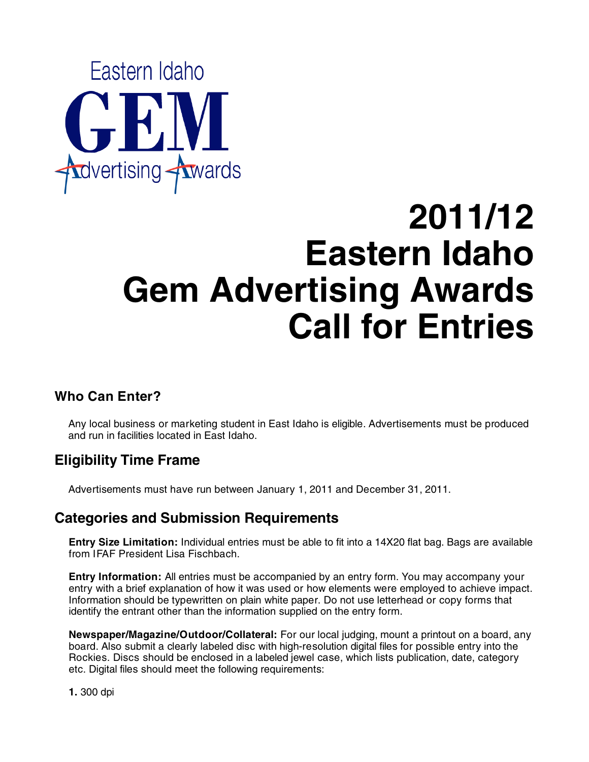

# **2011/12 Eastern Idaho Gem Advertising Awards Call for Entries**

## **Who Can Enter?**

Any local business or marketing student in East Idaho is eligible. Advertisements must be produced and run in facilities located in East Idaho.

## **Eligibility Time Frame**

Advertisements must have run between January 1, 2011 and December 31, 2011.

## **Categories and Submission Requirements**

**Entry Size Limitation:** Individual entries must be able to fit into a 14X20 flat bag. Bags are available from IFAF President Lisa Fischbach.

**Entry Information:** All entries must be accompanied by an entry form. You may accompany your entry with a brief explanation of how it was used or how elements were employed to achieve impact. Information should be typewritten on plain white paper. Do not use letterhead or copy forms that identify the entrant other than the information supplied on the entry form.

**Newspaper/Magazine/Outdoor/Collateral:** For our local judging, mount a printout on a board, any board. Also submit a clearly labeled disc with high-resolution digital files for possible entry into the Rockies. Discs should be enclosed in a labeled jewel case, which lists publication, date, category etc. Digital files should meet the following requirements:

**1.** 300 dpi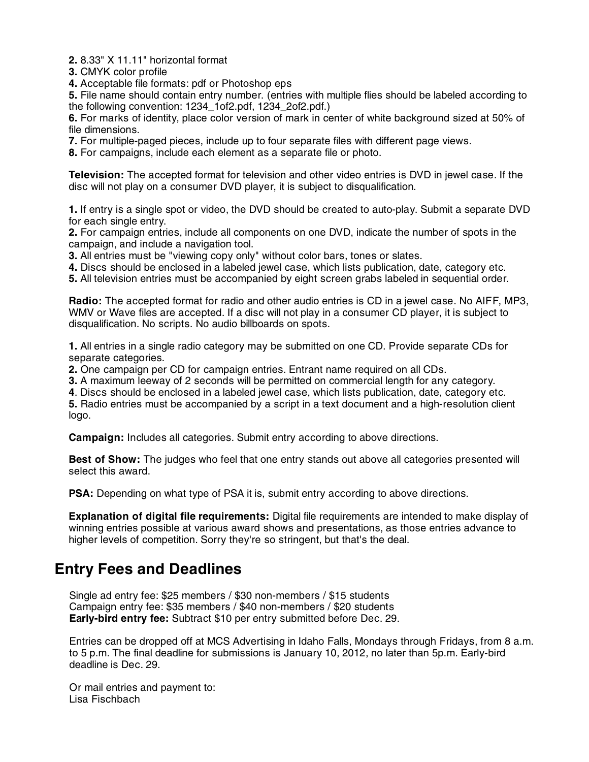**2.** 8.33" X 11.11" horizontal format

**3.** CMYK color profile

**4.** Acceptable file formats: pdf or Photoshop eps

**5.** File name should contain entry number. (entries with multiple flies should be labeled according to the following convention: 1234\_1of2.pdf, 1234\_2of2.pdf.)

**6.** For marks of identity, place color version of mark in center of white background sized at 50% of file dimensions.

**7.** For multiple-paged pieces, include up to four separate files with different page views.

**8.** For campaigns, include each element as a separate file or photo.

**Television:** The accepted format for television and other video entries is DVD in jewel case. If the disc will not play on a consumer DVD player, it is subject to disqualification.

**1.** If entry is a single spot or video, the DVD should be created to auto-play. Submit a separate DVD for each single entry.

**2.** For campaign entries, include all components on one DVD, indicate the number of spots in the campaign, and include a navigation tool.

**3.** All entries must be "viewing copy only" without color bars, tones or slates.

**4.** Discs should be enclosed in a labeled jewel case, which lists publication, date, category etc.

**5.** All television entries must be accompanied by eight screen grabs labeled in sequential order.

**Radio:** The accepted format for radio and other audio entries is CD in a jewel case. No AIFF, MP3, WMV or Wave files are accepted. If a disc will not play in a consumer CD player, it is subject to disqualification. No scripts. No audio billboards on spots.

**1.** All entries in a single radio category may be submitted on one CD. Provide separate CDs for separate categories.

**2.** One campaign per CD for campaign entries. Entrant name required on all CDs.

**3.** A maximum leeway of 2 seconds will be permitted on commercial length for any category.

**4**. Discs should be enclosed in a labeled jewel case, which lists publication, date, category etc.

**5.** Radio entries must be accompanied by a script in a text document and a high-resolution client logo.

**Campaign:** Includes all categories. Submit entry according to above directions.

**Best of Show:** The judges who feel that one entry stands out above all categories presented will select this award.

**PSA:** Depending on what type of PSA it is, submit entry according to above directions.

**Explanation of digital file requirements:** Digital file requirements are intended to make display of winning entries possible at various award shows and presentations, as those entries advance to higher levels of competition. Sorry they're so stringent, but that's the deal.

## **Entry Fees and Deadlines**

Single ad entry fee: \$25 members / \$30 non-members / \$15 students Campaign entry fee: \$35 members / \$40 non-members / \$20 students **Early-bird entry fee:** Subtract \$10 per entry submitted before Dec. 29.

Entries can be dropped off at MCS Advertising in Idaho Falls, Mondays through Fridays, from 8 a.m. to 5 p.m. The final deadline for submissions is January 10, 2012, no later than 5p.m. Early-bird deadline is Dec. 29.

Or mail entries and payment to: Lisa Fischbach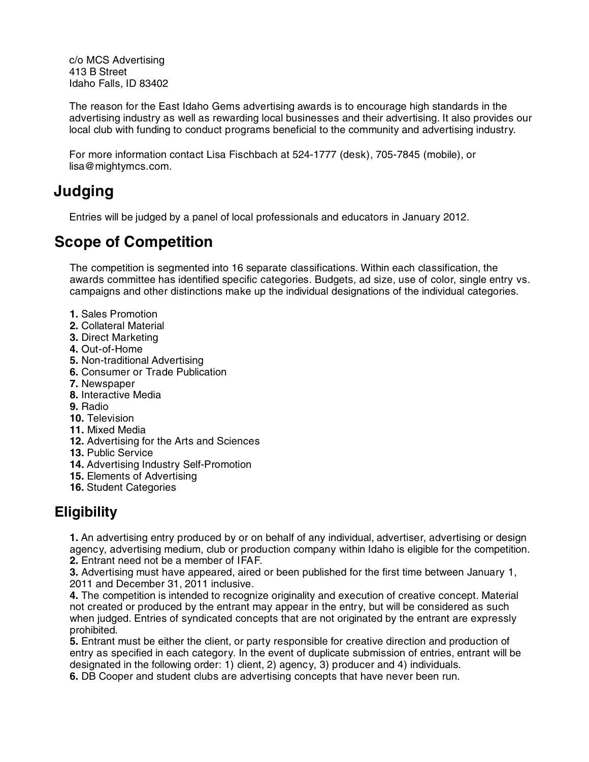c/o MCS Advertising 413 B Street Idaho Falls, ID 83402

The reason for the East Idaho Gems advertising awards is to encourage high standards in the advertising industry as well as rewarding local businesses and their advertising. It also provides our local club with funding to conduct programs beneficial to the community and advertising industry.

For more information contact Lisa Fischbach at 524-1777 (desk), 705-7845 (mobile), or lisa@mightymcs.com.

## **Judging**

Entries will be judged by a panel of local professionals and educators in January 2012.

## **Scope of Competition**

The competition is segmented into 16 separate classifications. Within each classification, the awards committee has identified specific categories. Budgets, ad size, use of color, single entry vs. campaigns and other distinctions make up the individual designations of the individual categories.

- **1.** Sales Promotion
- **2.** Collateral Material
- **3.** Direct Marketing
- **4.** Out-of-Home
- **5.** Non-traditional Advertising
- **6.** Consumer or Trade Publication
- **7.** Newspaper
- **8.** Interactive Media
- **9.** Radio
- **10.** Television
- **11.** Mixed Media
- **12.** Advertising for the Arts and Sciences
- **13.** Public Service
- **14.** Advertising Industry Self-Promotion
- **15.** Elements of Advertising
- **16.** Student Categories

## **Eligibility**

**1.** An advertising entry produced by or on behalf of any individual, advertiser, advertising or design agency, advertising medium, club or production company within Idaho is eligible for the competition. **2.** Entrant need not be a member of IFAF.

**3.** Advertising must have appeared, aired or been published for the first time between January 1, 2011 and December 31, 2011 inclusive.

**4.** The competition is intended to recognize originality and execution of creative concept. Material not created or produced by the entrant may appear in the entry, but will be considered as such when judged. Entries of syndicated concepts that are not originated by the entrant are expressly prohibited.

**5.** Entrant must be either the client, or party responsible for creative direction and production of entry as specified in each category. In the event of duplicate submission of entries, entrant will be designated in the following order: 1) client, 2) agency, 3) producer and 4) individuals.

**6.** DB Cooper and student clubs are advertising concepts that have never been run.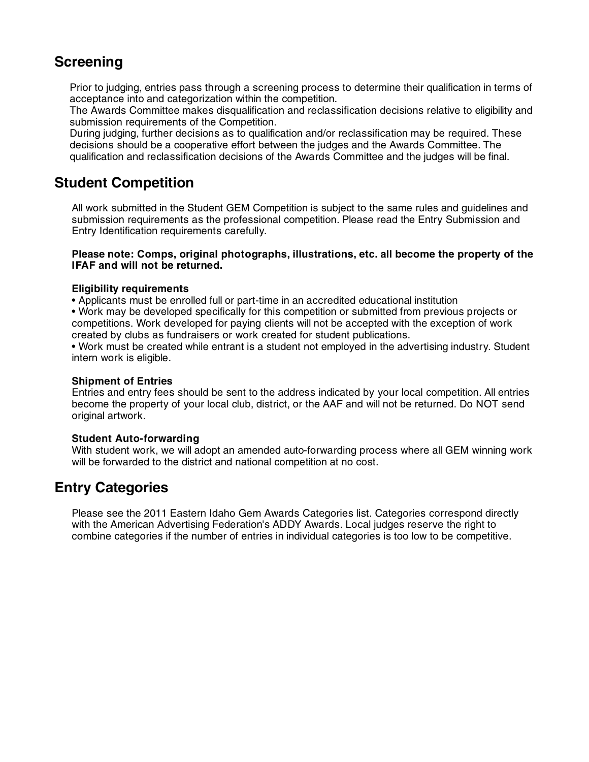## **Screening**

Prior to judging, entries pass through a screening process to determine their qualification in terms of acceptance into and categorization within the competition.

The Awards Committee makes disqualification and reclassification decisions relative to eligibility and submission requirements of the Competition.

During judging, further decisions as to qualification and/or reclassification may be required. These decisions should be a cooperative effort between the judges and the Awards Committee. The qualification and reclassification decisions of the Awards Committee and the judges will be final.

## **Student Competition**

All work submitted in the Student GEM Competition is subject to the same rules and guidelines and submission requirements as the professional competition. Please read the Entry Submission and Entry Identification requirements carefully.

#### **Please note: Comps, original photographs, illustrations, etc. all become the property of the IFAF and will not be returned.**

#### **Eligibility requirements**

• Applicants must be enrolled full or part-time in an accredited educational institution

• Work may be developed specifically for this competition or submitted from previous projects or competitions. Work developed for paying clients will not be accepted with the exception of work created by clubs as fundraisers or work created for student publications.

• Work must be created while entrant is a student not employed in the advertising industry. Student intern work is eligible.

#### **Shipment of Entries**

Entries and entry fees should be sent to the address indicated by your local competition. All entries become the property of your local club, district, or the AAF and will not be returned. Do NOT send original artwork.

#### **Student Auto-forwarding**

With student work, we will adopt an amended auto-forwarding process where all GEM winning work will be forwarded to the district and national competition at no cost.

## **Entry Categories**

Please see the 2011 Eastern Idaho Gem Awards Categories list. Categories correspond directly with the American Advertising Federation's ADDY Awards. Local judges reserve the right to combine categories if the number of entries in individual categories is too low to be competitive.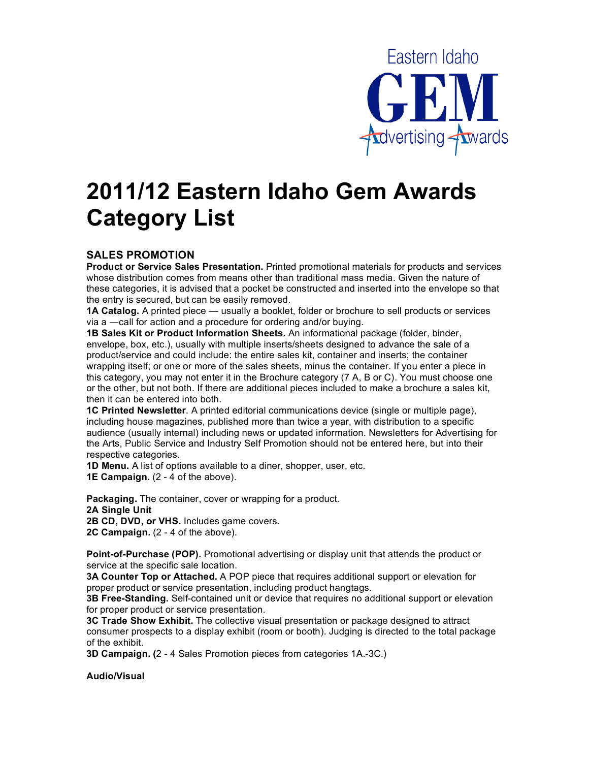

## **2011/12 Eastern Idaho Gem Awards Category List**

#### **SALES PROMOTION**

**Product or Service Sales Presentation.** Printed promotional materials for products and services whose distribution comes from means other than traditional mass media. Given the nature of these categories, it is advised that a pocket be constructed and inserted into the envelope so that the entry is secured, but can be easily removed.

**1A Catalog.** A printed piece — usually a booklet, folder or brochure to sell products or services via a -call for action and a procedure for ordering and/or buying.

**1B Sales Kit or Product Information Sheets.** An informational package (folder, binder, envelope, box, etc.), usually with multiple inserts/sheets designed to advance the sale of a product/service and could include: the entire sales kit, container and inserts; the container wrapping itself; or one or more of the sales sheets, minus the container. If you enter a piece in this category, you may not enter it in the Brochure category (7 A, B or C). You must choose one or the other, but not both. If there are additional pieces included to make a brochure a sales kit, then it can be entered into both.

**1C Printed Newsletter**. A printed editorial communications device (single or multiple page), including house magazines, published more than twice a year, with distribution to a specific audience (usually internal) including news or updated information. Newsletters for Advertising for the Arts, Public Service and Industry Self Promotion should not be entered here, but into their respective categories.

**1D Menu.** A list of options available to a diner, shopper, user, etc.

**1E Campaign.** (2 - 4 of the above).

**Packaging.** The container, cover or wrapping for a product. **2A Single Unit 2B CD, DVD, or VHS.** Includes game covers. **2C Campaign.** (2 - 4 of the above).

**Point-of-Purchase (POP).** Promotional advertising or display unit that attends the product or service at the specific sale location.

**3A Counter Top or Attached.** A POP piece that requires additional support or elevation for proper product or service presentation, including product hangtags.

**3B Free-Standing.** Self-contained unit or device that requires no additional support or elevation for proper product or service presentation.

**3C Trade Show Exhibit.** The collective visual presentation or package designed to attract consumer prospects to a display exhibit (room or booth). Judging is directed to the total package of the exhibit.

**3D Campaign. (**2 - 4 Sales Promotion pieces from categories 1A.-3C.)

**Audio/Visual**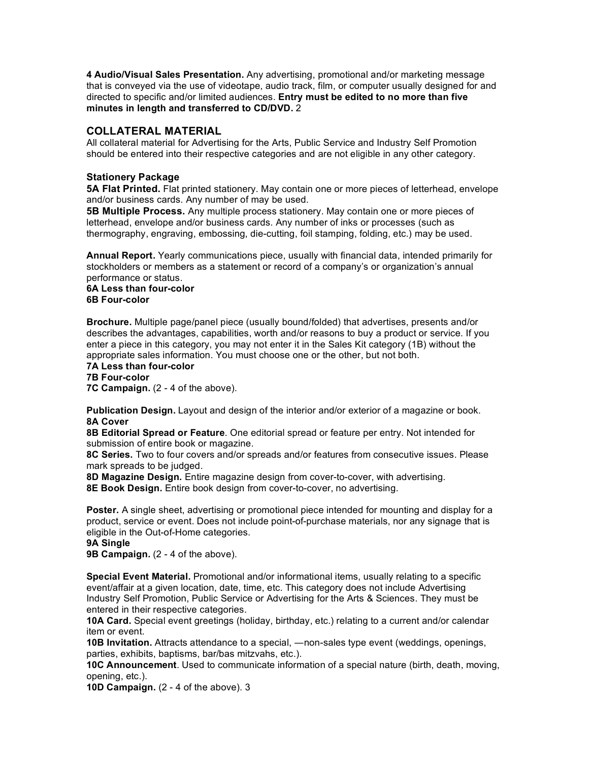**4 Audio/Visual Sales Presentation.** Any advertising, promotional and/or marketing message that is conveyed via the use of videotape, audio track, film, or computer usually designed for and directed to specific and/or limited audiences. **Entry must be edited to no more than five minutes in length and transferred to CD/DVD.** 2

#### **COLLATERAL MATERIAL**

All collateral material for Advertising for the Arts, Public Service and Industry Self Promotion should be entered into their respective categories and are not eligible in any other category.

#### **Stationery Package**

**5A Flat Printed.** Flat printed stationery. May contain one or more pieces of letterhead, envelope and/or business cards. Any number of may be used.

**5B Multiple Process.** Any multiple process stationery. May contain one or more pieces of letterhead, envelope and/or business cards. Any number of inks or processes (such as thermography, engraving, embossing, die-cutting, foil stamping, folding, etc.) may be used.

**Annual Report.** Yearly communications piece, usually with financial data, intended primarily for stockholders or members as a statement or record of a company's or organization's annual performance or status.

#### **6A Less than four-color 6B Four-color**

**Brochure.** Multiple page/panel piece (usually bound/folded) that advertises, presents and/or describes the advantages, capabilities, worth and/or reasons to buy a product or service. If you enter a piece in this category, you may not enter it in the Sales Kit category (1B) without the appropriate sales information. You must choose one or the other, but not both.

**7A Less than four-color 7B Four-color** 

**7C Campaign.** (2 - 4 of the above).

**Publication Design.** Layout and design of the interior and/or exterior of a magazine or book. **8A Cover** 

**8B Editorial Spread or Feature**. One editorial spread or feature per entry. Not intended for submission of entire book or magazine.

**8C Series.** Two to four covers and/or spreads and/or features from consecutive issues. Please mark spreads to be judged.

**8D Magazine Design.** Entire magazine design from cover-to-cover, with advertising. **8E Book Design.** Entire book design from cover-to-cover, no advertising.

**Poster.** A single sheet, advertising or promotional piece intended for mounting and display for a product, service or event. Does not include point-of-purchase materials, nor any signage that is eligible in the Out-of-Home categories.

**9A Single** 

**9B Campaign.** (2 - 4 of the above).

**Special Event Material.** Promotional and/or informational items, usually relating to a specific event/affair at a given location, date, time, etc. This category does not include Advertising Industry Self Promotion, Public Service or Advertising for the Arts & Sciences. They must be entered in their respective categories.

**10A Card.** Special event greetings (holiday, birthday, etc.) relating to a current and/or calendar item or event.

**10B Invitation.** Attracts attendance to a special,  $-$ non-sales type event (weddings, openings, parties, exhibits, baptisms, bar/bas mitzvahs, etc.).

**10C Announcement**. Used to communicate information of a special nature (birth, death, moving, opening, etc.).

**10D Campaign.** (2 - 4 of the above). 3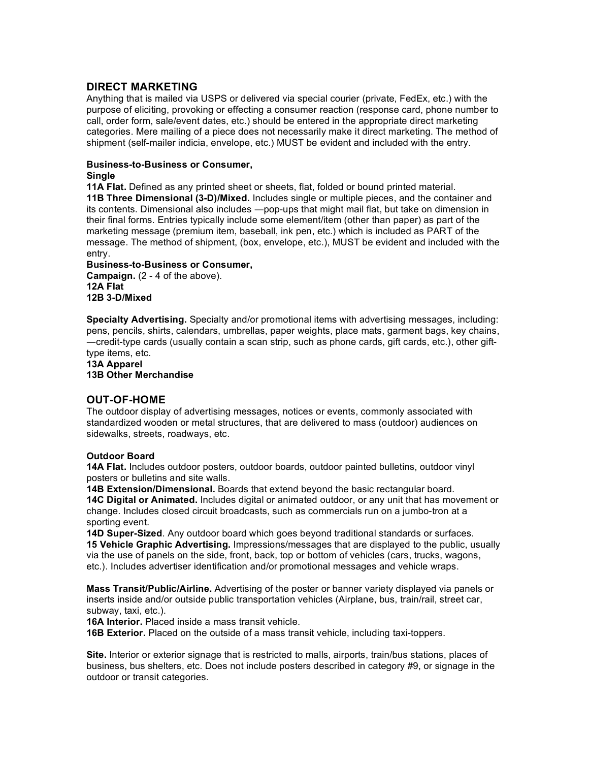#### **DIRECT MARKETING**

Anything that is mailed via USPS or delivered via special courier (private, FedEx, etc.) with the purpose of eliciting, provoking or effecting a consumer reaction (response card, phone number to call, order form, sale/event dates, etc.) should be entered in the appropriate direct marketing categories. Mere mailing of a piece does not necessarily make it direct marketing. The method of shipment (self-mailer indicia, envelope, etc.) MUST be evident and included with the entry.

#### **Business-to-Business or Consumer,**

#### **Single**

**11A Flat.** Defined as any printed sheet or sheets, flat, folded or bound printed material. **11B Three Dimensional (3-D)/Mixed.** Includes single or multiple pieces, and the container and its contents. Dimensional also includes --pop-ups that might mail flat, but take on dimension in their final forms. Entries typically include some element/item (other than paper) as part of the marketing message (premium item, baseball, ink pen, etc.) which is included as PART of the message. The method of shipment, (box, envelope, etc.), MUST be evident and included with the entry.

#### **Business-to-Business or Consumer,**

**Campaign.** (2 - 4 of the above). **12A Flat 12B 3-D/Mixed** 

**Specialty Advertising.** Specialty and/or promotional items with advertising messages, including: pens, pencils, shirts, calendars, umbrellas, paper weights, place mats, garment bags, key chains, credit-type cards (usually contain a scan strip, such as phone cards, gift cards, etc.), other gifttype items, etc.

**13A Apparel 13B Other Merchandise** 

#### **OUT-OF-HOME**

The outdoor display of advertising messages, notices or events, commonly associated with standardized wooden or metal structures, that are delivered to mass (outdoor) audiences on sidewalks, streets, roadways, etc.

#### **Outdoor Board**

**14A Flat.** Includes outdoor posters, outdoor boards, outdoor painted bulletins, outdoor vinyl posters or bulletins and site walls.

**14B Extension/Dimensional.** Boards that extend beyond the basic rectangular board. **14C Digital or Animated.** Includes digital or animated outdoor, or any unit that has movement or change. Includes closed circuit broadcasts, such as commercials run on a jumbo-tron at a sporting event.

**14D Super-Sized**. Any outdoor board which goes beyond traditional standards or surfaces. **15 Vehicle Graphic Advertising.** Impressions/messages that are displayed to the public, usually via the use of panels on the side, front, back, top or bottom of vehicles (cars, trucks, wagons, etc.). Includes advertiser identification and/or promotional messages and vehicle wraps.

**Mass Transit/Public/Airline.** Advertising of the poster or banner variety displayed via panels or inserts inside and/or outside public transportation vehicles (Airplane, bus, train/rail, street car, subway, taxi, etc.).

**16A Interior.** Placed inside a mass transit vehicle.

**16B Exterior.** Placed on the outside of a mass transit vehicle, including taxi-toppers.

**Site.** Interior or exterior signage that is restricted to malls, airports, train/bus stations, places of business, bus shelters, etc. Does not include posters described in category #9, or signage in the outdoor or transit categories.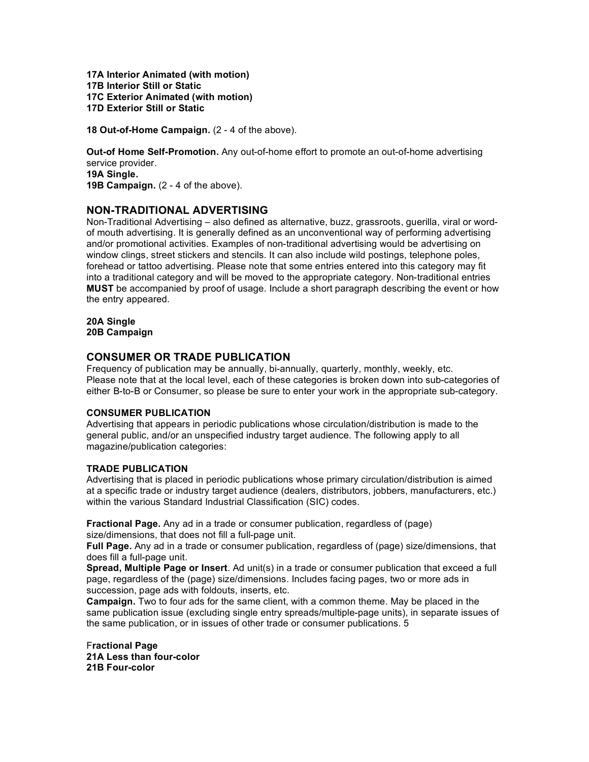**17A Interior Animated (with motion) 17B Interior Still or Static 17C Exterior Animated (with motion) 17D Exterior Still or Static** 

**18 Out-of-Home Campaign.** (2 - 4 of the above).

**Out-of Home Self-Promotion.** Any out-of-home effort to promote an out-of-home advertising service provider. **19A Single. 19B Campaign.** (2 - 4 of the above).

#### **NON-TRADITIONAL ADVERTISING**

Non-Traditional Advertising – also defined as alternative, buzz, grassroots, guerilla, viral or wordof mouth advertising. It is generally defined as an unconventional way of performing advertising and/or promotional activities. Examples of non-traditional advertising would be advertising on window clings, street stickers and stencils. It can also include wild postings, telephone poles, forehead or tattoo advertising. Please note that some entries entered into this category may fit into a traditional category and will be moved to the appropriate category. Non-traditional entries **MUST** be accompanied by proof of usage. Include a short paragraph describing the event or how the entry appeared.

**20A Single 20B Campaign** 

#### **CONSUMER OR TRADE PUBLICATION**

Frequency of publication may be annually, bi-annually, quarterly, monthly, weekly, etc. Please note that at the local level, each of these categories is broken down into sub-categories of either B-to-B or Consumer, so please be sure to enter your work in the appropriate sub-category.

#### **CONSUMER PUBLICATION**

Advertising that appears in periodic publications whose circulation/distribution is made to the general public, and/or an unspecified industry target audience. The following apply to all magazine/publication categories:

#### **TRADE PUBLICATION**

Advertising that is placed in periodic publications whose primary circulation/distribution is aimed at a specific trade or industry target audience (dealers, distributors, jobbers, manufacturers, etc.) within the various Standard Industrial Classification (SIC) codes.

**Fractional Page.** Any ad in a trade or consumer publication, regardless of (page) size/dimensions, that does not fill a full-page unit.

**Full Page.** Any ad in a trade or consumer publication, regardless of (page) size/dimensions, that does fill a full-page unit.

**Spread, Multiple Page or Insert**. Ad unit(s) in a trade or consumer publication that exceed a full page, regardless of the (page) size/dimensions. Includes facing pages, two or more ads in succession, page ads with foldouts, inserts, etc.

**Campaign.** Two to four ads for the same client, with a common theme. May be placed in the same publication issue (excluding single entry spreads/multiple-page units), in separate issues of the same publication, or in issues of other trade or consumer publications. 5

F**ractional Page 21A Less than four-color 21B Four-color**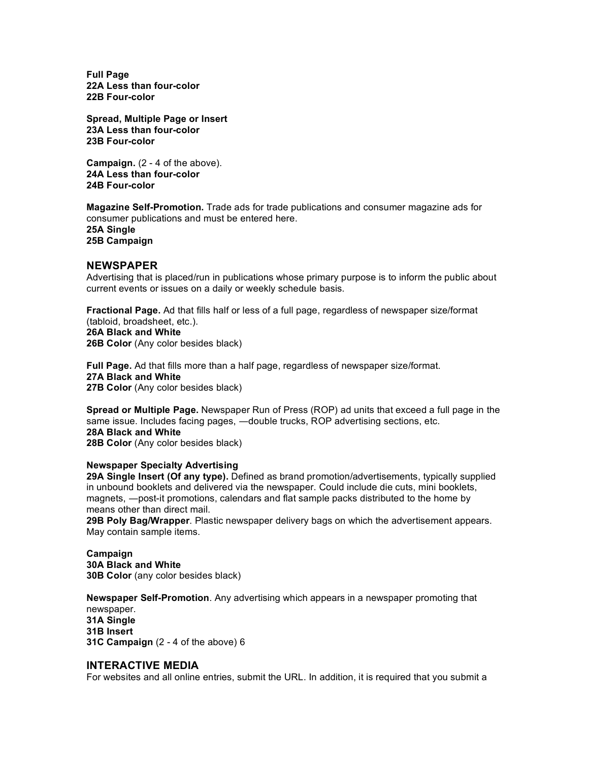**Full Page 22A Less than four-color 22B Four-color** 

**Spread, Multiple Page or Insert 23A Less than four-color 23B Four-color** 

**Campaign.** (2 - 4 of the above). **24A Less than four-color 24B Four-color** 

**Magazine Self-Promotion.** Trade ads for trade publications and consumer magazine ads for consumer publications and must be entered here. **25A Single 25B Campaign** 

#### **NEWSPAPER**

Advertising that is placed/run in publications whose primary purpose is to inform the public about current events or issues on a daily or weekly schedule basis.

**Fractional Page.** Ad that fills half or less of a full page, regardless of newspaper size/format (tabloid, broadsheet, etc.). **26A Black and White 26B Color** (Any color besides black)

**Full Page.** Ad that fills more than a half page, regardless of newspaper size/format. **27A Black and White 27B Color** (Any color besides black)

**Spread or Multiple Page.** Newspaper Run of Press (ROP) ad units that exceed a full page in the same issue. Includes facing pages, -double trucks, ROP advertising sections, etc. **28A Black and White** 

**28B Color** (Any color besides black)

#### **Newspaper Specialty Advertising**

**29A Single Insert (Of any type).** Defined as brand promotion/advertisements, typically supplied in unbound booklets and delivered via the newspaper. Could include die cuts, mini booklets, magnets, -post-it promotions, calendars and flat sample packs distributed to the home by means other than direct mail.

**29B Poly Bag/Wrapper**. Plastic newspaper delivery bags on which the advertisement appears. May contain sample items.

**Campaign 30A Black and White 30B Color** (any color besides black)

**Newspaper Self-Promotion**. Any advertising which appears in a newspaper promoting that newspaper.

**31A Single 31B Insert 31C Campaign** (2 - 4 of the above) 6

#### **INTERACTIVE MEDIA**

For websites and all online entries, submit the URL. In addition, it is required that you submit a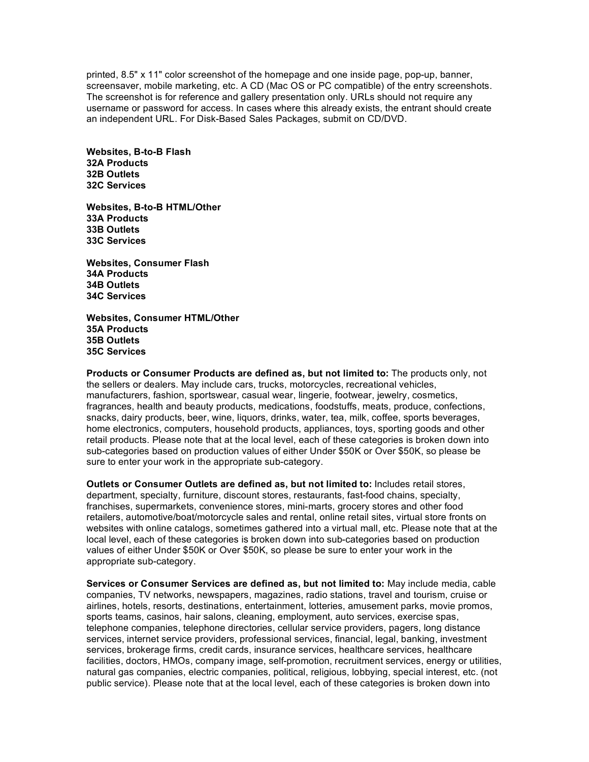printed, 8.5" x 11" color screenshot of the homepage and one inside page, pop-up, banner, screensaver, mobile marketing, etc. A CD (Mac OS or PC compatible) of the entry screenshots. The screenshot is for reference and gallery presentation only. URLs should not require any username or password for access. In cases where this already exists, the entrant should create an independent URL. For Disk-Based Sales Packages, submit on CD/DVD.

**Websites, B-to-B Flash 32A Products 32B Outlets 32C Services** 

**Websites, B-to-B HTML/Other 33A Products 33B Outlets 33C Services** 

**Websites, Consumer Flash 34A Products 34B Outlets 34C Services** 

**Websites, Consumer HTML/Other 35A Products 35B Outlets 35C Services** 

**Products or Consumer Products are defined as, but not limited to:** The products only, not the sellers or dealers. May include cars, trucks, motorcycles, recreational vehicles, manufacturers, fashion, sportswear, casual wear, lingerie, footwear, jewelry, cosmetics, fragrances, health and beauty products, medications, foodstuffs, meats, produce, confections, snacks, dairy products, beer, wine, liquors, drinks, water, tea, milk, coffee, sports beverages, home electronics, computers, household products, appliances, toys, sporting goods and other retail products. Please note that at the local level, each of these categories is broken down into sub-categories based on production values of either Under \$50K or Over \$50K, so please be sure to enter your work in the appropriate sub-category.

**Outlets or Consumer Outlets are defined as, but not limited to:** Includes retail stores, department, specialty, furniture, discount stores, restaurants, fast-food chains, specialty, franchises, supermarkets, convenience stores, mini-marts, grocery stores and other food retailers, automotive/boat/motorcycle sales and rental, online retail sites, virtual store fronts on websites with online catalogs, sometimes gathered into a virtual mall, etc. Please note that at the local level, each of these categories is broken down into sub-categories based on production values of either Under \$50K or Over \$50K, so please be sure to enter your work in the appropriate sub-category.

**Services or Consumer Services are defined as, but not limited to:** May include media, cable companies, TV networks, newspapers, magazines, radio stations, travel and tourism, cruise or airlines, hotels, resorts, destinations, entertainment, lotteries, amusement parks, movie promos, sports teams, casinos, hair salons, cleaning, employment, auto services, exercise spas, telephone companies, telephone directories, cellular service providers, pagers, long distance services, internet service providers, professional services, financial, legal, banking, investment services, brokerage firms, credit cards, insurance services, healthcare services, healthcare facilities, doctors, HMOs, company image, self-promotion, recruitment services, energy or utilities, natural gas companies, electric companies, political, religious, lobbying, special interest, etc. (not public service). Please note that at the local level, each of these categories is broken down into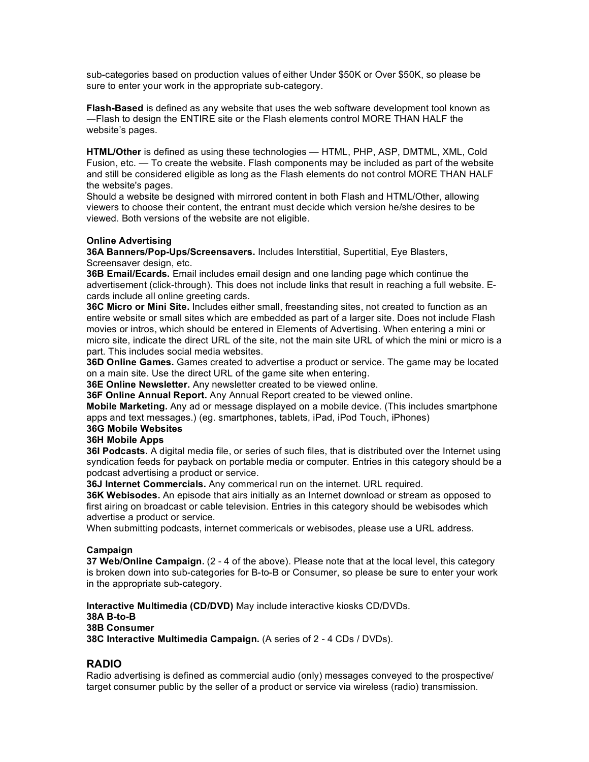sub-categories based on production values of either Under \$50K or Over \$50K, so please be sure to enter your work in the appropriate sub-category.

**Flash-Based** is defined as any website that uses the web software development tool known as Flash to design the ENTIRE site or the Flash elements control MORE THAN HALF the website's pages.

**HTML/Other** is defined as using these technologies — HTML, PHP, ASP, DMTML, XML, Cold Fusion, etc. — To create the website. Flash components may be included as part of the website and still be considered eligible as long as the Flash elements do not control MORE THAN HALF the website's pages.

Should a website be designed with mirrored content in both Flash and HTML/Other, allowing viewers to choose their content, the entrant must decide which version he/she desires to be viewed. Both versions of the website are not eligible.

#### **Online Advertising**

**36A Banners/Pop-Ups/Screensavers.** Includes Interstitial, Supertitial, Eye Blasters, Screensaver design, etc.

**36B Email/Ecards.** Email includes email design and one landing page which continue the advertisement (click-through). This does not include links that result in reaching a full website. Ecards include all online greeting cards.

**36C Micro or Mini Site.** Includes either small, freestanding sites, not created to function as an entire website or small sites which are embedded as part of a larger site. Does not include Flash movies or intros, which should be entered in Elements of Advertising. When entering a mini or micro site, indicate the direct URL of the site, not the main site URL of which the mini or micro is a part. This includes social media websites.

**36D Online Games.** Games created to advertise a product or service. The game may be located on a main site. Use the direct URL of the game site when entering.

**36E Online Newsletter.** Any newsletter created to be viewed online.

**36F Online Annual Report.** Any Annual Report created to be viewed online.

**Mobile Marketing.** Any ad or message displayed on a mobile device. (This includes smartphone apps and text messages.) (eg. smartphones, tablets, iPad, iPod Touch, iPhones)

#### **36G Mobile Websites**

#### **36H Mobile Apps**

**36I Podcasts.** A digital media file, or series of such files, that is distributed over the Internet using syndication feeds for payback on portable media or computer. Entries in this category should be a podcast advertising a product or service.

**36J Internet Commercials.** Any commerical run on the internet. URL required.

**36K Webisodes.** An episode that airs initially as an Internet download or stream as opposed to first airing on broadcast or cable television. Entries in this category should be webisodes which advertise a product or service.

When submitting podcasts, internet commericals or webisodes, please use a URL address.

#### **Campaign**

**37 Web/Online Campaign.** (2 - 4 of the above). Please note that at the local level, this category is broken down into sub-categories for B-to-B or Consumer, so please be sure to enter your work in the appropriate sub-category.

**Interactive Multimedia (CD/DVD)** May include interactive kiosks CD/DVDs. **38A B-to-B 38B Consumer 38C Interactive Multimedia Campaign.** (A series of 2 - 4 CDs / DVDs).

#### **RADIO**

Radio advertising is defined as commercial audio (only) messages conveyed to the prospective/ target consumer public by the seller of a product or service via wireless (radio) transmission.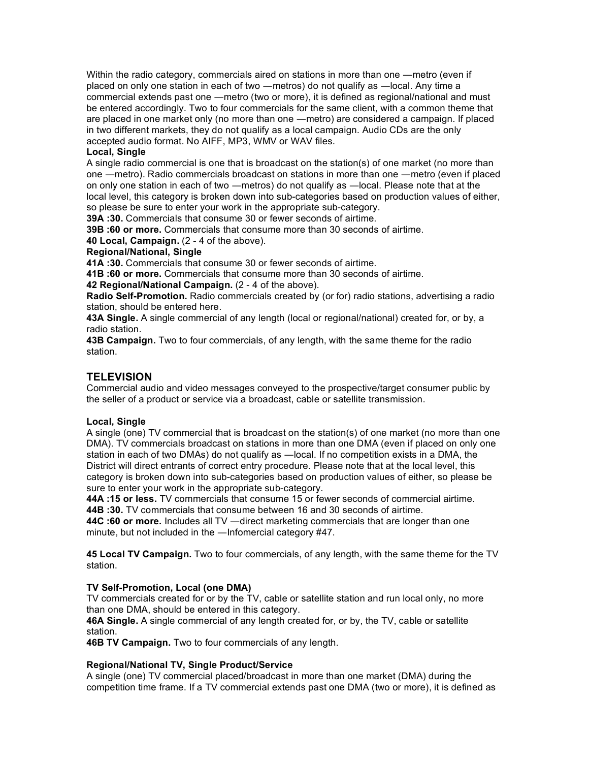Within the radio category, commercials aired on stations in more than one - metro (even if placed on only one station in each of two —metros) do not qualify as —local. Any time a commercial extends past one - metro (two or more), it is defined as regional/national and must be entered accordingly. Two to four commercials for the same client, with a common theme that are placed in one market only (no more than one metro) are considered a campaign. If placed in two different markets, they do not qualify as a local campaign. Audio CDs are the only accepted audio format. No AIFF, MP3, WMV or WAV files.

#### **Local, Single**

A single radio commercial is one that is broadcast on the station(s) of one market (no more than one - metro). Radio commercials broadcast on stations in more than one - metro (even if placed on only one station in each of two —metros) do not qualify as —local. Please note that at the local level, this category is broken down into sub-categories based on production values of either, so please be sure to enter your work in the appropriate sub-category.

**39A :30.** Commercials that consume 30 or fewer seconds of airtime.

**39B :60 or more.** Commercials that consume more than 30 seconds of airtime.

**40 Local, Campaign.** (2 - 4 of the above).

#### **Regional/National, Single**

**41A :30.** Commercials that consume 30 or fewer seconds of airtime.

**41B :60 or more.** Commercials that consume more than 30 seconds of airtime.

**42 Regional/National Campaign.** (2 - 4 of the above).

**Radio Self-Promotion.** Radio commercials created by (or for) radio stations, advertising a radio station, should be entered here.

**43A Single.** A single commercial of any length (local or regional/national) created for, or by, a radio station.

**43B Campaign.** Two to four commercials, of any length, with the same theme for the radio station.

#### **TELEVISION**

Commercial audio and video messages conveyed to the prospective/target consumer public by the seller of a product or service via a broadcast, cable or satellite transmission.

#### **Local, Single**

A single (one) TV commercial that is broadcast on the station(s) of one market (no more than one DMA). TV commercials broadcast on stations in more than one DMA (even if placed on only one station in each of two DMAs) do not qualify as -local. If no competition exists in a DMA, the District will direct entrants of correct entry procedure. Please note that at the local level, this category is broken down into sub-categories based on production values of either, so please be sure to enter your work in the appropriate sub-category.

**44A :15 or less.** TV commercials that consume 15 or fewer seconds of commercial airtime. **44B :30.** TV commercials that consume between 16 and 30 seconds of airtime.

**44C :60 or more.** Includes all TV —direct marketing commercials that are longer than one minute, but not included in the  $-$ Infomercial category  $#47$ .

**45 Local TV Campaign.** Two to four commercials, of any length, with the same theme for the TV station.

#### **TV Self-Promotion, Local (one DMA)**

TV commercials created for or by the TV, cable or satellite station and run local only, no more than one DMA, should be entered in this category.

**46A Single.** A single commercial of any length created for, or by, the TV, cable or satellite station.

**46B TV Campaign.** Two to four commercials of any length.

#### **Regional/National TV, Single Product/Service**

A single (one) TV commercial placed/broadcast in more than one market (DMA) during the competition time frame. If a TV commercial extends past one DMA (two or more), it is defined as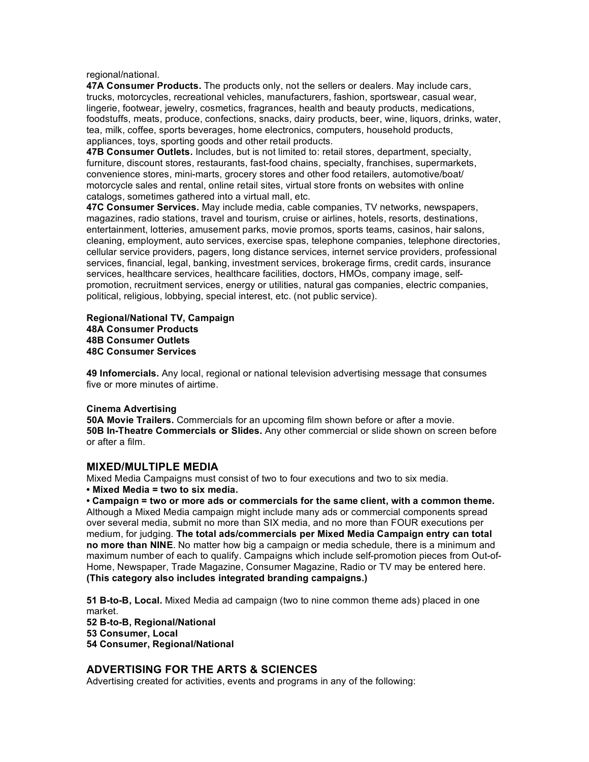regional/national.

**47A Consumer Products.** The products only, not the sellers or dealers. May include cars, trucks, motorcycles, recreational vehicles, manufacturers, fashion, sportswear, casual wear, lingerie, footwear, jewelry, cosmetics, fragrances, health and beauty products, medications, foodstuffs, meats, produce, confections, snacks, dairy products, beer, wine, liquors, drinks, water, tea, milk, coffee, sports beverages, home electronics, computers, household products, appliances, toys, sporting goods and other retail products.

**47B Consumer Outlets.** Includes, but is not limited to: retail stores, department, specialty, furniture, discount stores, restaurants, fast-food chains, specialty, franchises, supermarkets, convenience stores, mini-marts, grocery stores and other food retailers, automotive/boat/ motorcycle sales and rental, online retail sites, virtual store fronts on websites with online catalogs, sometimes gathered into a virtual mall, etc.

**47C Consumer Services.** May include media, cable companies, TV networks, newspapers, magazines, radio stations, travel and tourism, cruise or airlines, hotels, resorts, destinations, entertainment, lotteries, amusement parks, movie promos, sports teams, casinos, hair salons, cleaning, employment, auto services, exercise spas, telephone companies, telephone directories, cellular service providers, pagers, long distance services, internet service providers, professional services, financial, legal, banking, investment services, brokerage firms, credit cards, insurance services, healthcare services, healthcare facilities, doctors, HMOs, company image, selfpromotion, recruitment services, energy or utilities, natural gas companies, electric companies, political, religious, lobbying, special interest, etc. (not public service).

**Regional/National TV, Campaign 48A Consumer Products 48B Consumer Outlets 48C Consumer Services** 

**49 Infomercials.** Any local, regional or national television advertising message that consumes five or more minutes of airtime.

#### **Cinema Advertising**

**50A Movie Trailers.** Commercials for an upcoming film shown before or after a movie. **50B In-Theatre Commercials or Slides.** Any other commercial or slide shown on screen before or after a film.

#### **MIXED/MULTIPLE MEDIA**

Mixed Media Campaigns must consist of two to four executions and two to six media.

**• Mixed Media = two to six media.** 

**• Campaign = two or more ads or commercials for the same client, with a common theme.**  Although a Mixed Media campaign might include many ads or commercial components spread over several media, submit no more than SIX media, and no more than FOUR executions per medium, for judging. **The total ads/commercials per Mixed Media Campaign entry can total no more than NINE**. No matter how big a campaign or media schedule, there is a minimum and maximum number of each to qualify. Campaigns which include self-promotion pieces from Out-of-Home, Newspaper, Trade Magazine, Consumer Magazine, Radio or TV may be entered here. **(This category also includes integrated branding campaigns.)** 

**51 B-to-B, Local.** Mixed Media ad campaign (two to nine common theme ads) placed in one market. **52 B-to-B, Regional/National 53 Consumer, Local 54 Consumer, Regional/National** 

#### **ADVERTISING FOR THE ARTS & SCIENCES**

Advertising created for activities, events and programs in any of the following: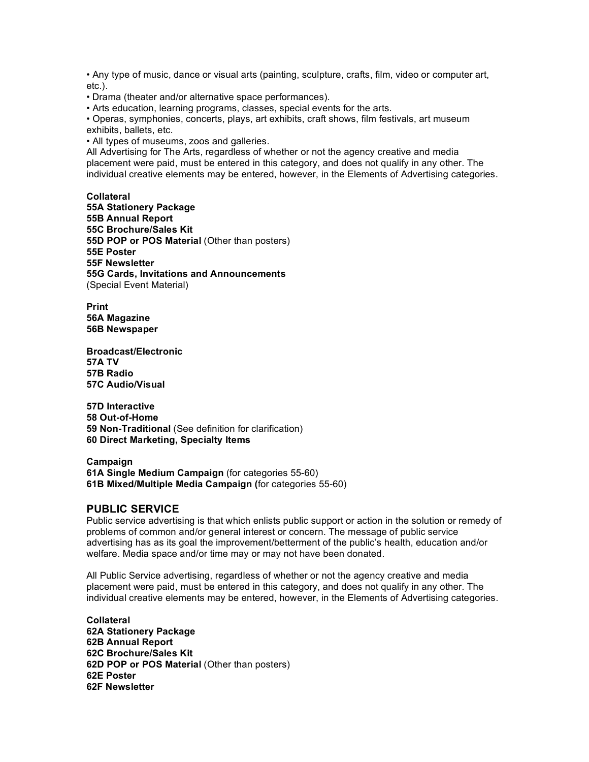• Any type of music, dance or visual arts (painting, sculpture, crafts, film, video or computer art, etc.).

• Drama (theater and/or alternative space performances).

• Arts education, learning programs, classes, special events for the arts.

• Operas, symphonies, concerts, plays, art exhibits, craft shows, film festivals, art museum exhibits, ballets, etc.

• All types of museums, zoos and galleries.

All Advertising for The Arts, regardless of whether or not the agency creative and media placement were paid, must be entered in this category, and does not qualify in any other. The individual creative elements may be entered, however, in the Elements of Advertising categories.

**Collateral 55A Stationery Package 55B Annual Report 55C Brochure/Sales Kit 55D POP or POS Material** (Other than posters) **55E Poster 55F Newsletter 55G Cards, Invitations and Announcements**  (Special Event Material)

**Print 56A Magazine 56B Newspaper** 

**Broadcast/Electronic 57A TV 57B Radio 57C Audio/Visual** 

**57D Interactive 58 Out-of-Home 59 Non-Traditional** (See definition for clarification) **60 Direct Marketing, Specialty Items** 

**Campaign 61A Single Medium Campaign** (for categories 55-60) **61B Mixed/Multiple Media Campaign (**for categories 55-60)

#### **PUBLIC SERVICE**

Public service advertising is that which enlists public support or action in the solution or remedy of problems of common and/or general interest or concern. The message of public service advertising has as its goal the improvement/betterment of the public's health, education and/or welfare. Media space and/or time may or may not have been donated.

All Public Service advertising, regardless of whether or not the agency creative and media placement were paid, must be entered in this category, and does not qualify in any other. The individual creative elements may be entered, however, in the Elements of Advertising categories.

**Collateral 62A Stationery Package 62B Annual Report 62C Brochure/Sales Kit 62D POP or POS Material** (Other than posters) **62E Poster 62F Newsletter**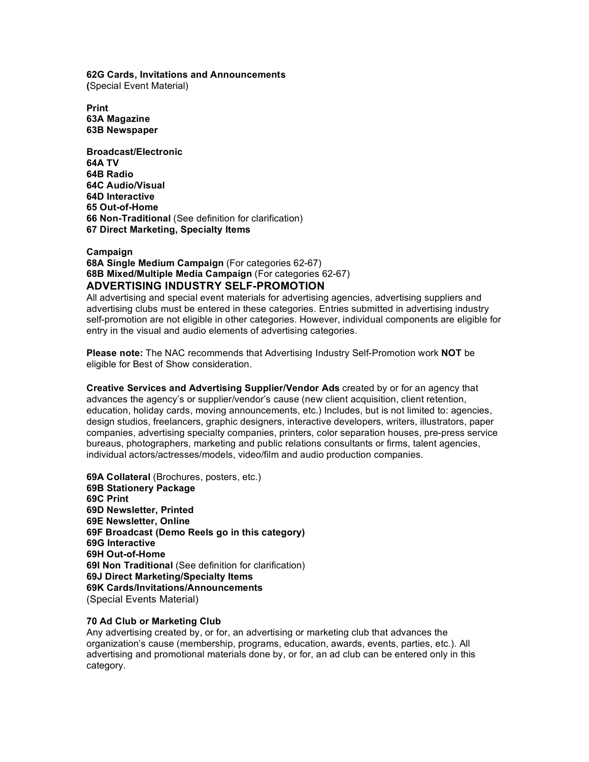**62G Cards, Invitations and Announcements (**Special Event Material)

**Print 63A Magazine 63B Newspaper** 

**Broadcast/Electronic 64A TV 64B Radio 64C Audio/Visual 64D Interactive 65 Out-of-Home 66 Non-Traditional** (See definition for clarification) **67 Direct Marketing, Specialty Items** 

**Campaign 68A Single Medium Campaign** (For categories 62-67) **68B Mixed/Multiple Media Campaign** (For categories 62-67) **ADVERTISING INDUSTRY SELF-PROMOTION** 

All advertising and special event materials for advertising agencies, advertising suppliers and advertising clubs must be entered in these categories. Entries submitted in advertising industry self-promotion are not eligible in other categories. However, individual components are eligible for entry in the visual and audio elements of advertising categories.

**Please note:** The NAC recommends that Advertising Industry Self-Promotion work **NOT** be eligible for Best of Show consideration.

**Creative Services and Advertising Supplier/Vendor Ads** created by or for an agency that advances the agency's or supplier/vendor's cause (new client acquisition, client retention, education, holiday cards, moving announcements, etc.) Includes, but is not limited to: agencies, design studios, freelancers, graphic designers, interactive developers, writers, illustrators, paper companies, advertising specialty companies, printers, color separation houses, pre-press service bureaus, photographers, marketing and public relations consultants or firms, talent agencies, individual actors/actresses/models, video/film and audio production companies.

**69A Collateral** (Brochures, posters, etc.) **69B Stationery Package 69C Print 69D Newsletter, Printed 69E Newsletter, Online 69F Broadcast (Demo Reels go in this category) 69G Interactive 69H Out-of-Home 69I Non Traditional** (See definition for clarification) **69J Direct Marketing/Specialty Items 69K Cards/Invitations/Announcements**  (Special Events Material)

#### **70 Ad Club or Marketing Club**

Any advertising created by, or for, an advertising or marketing club that advances the organization's cause (membership, programs, education, awards, events, parties, etc.). All advertising and promotional materials done by, or for, an ad club can be entered only in this category.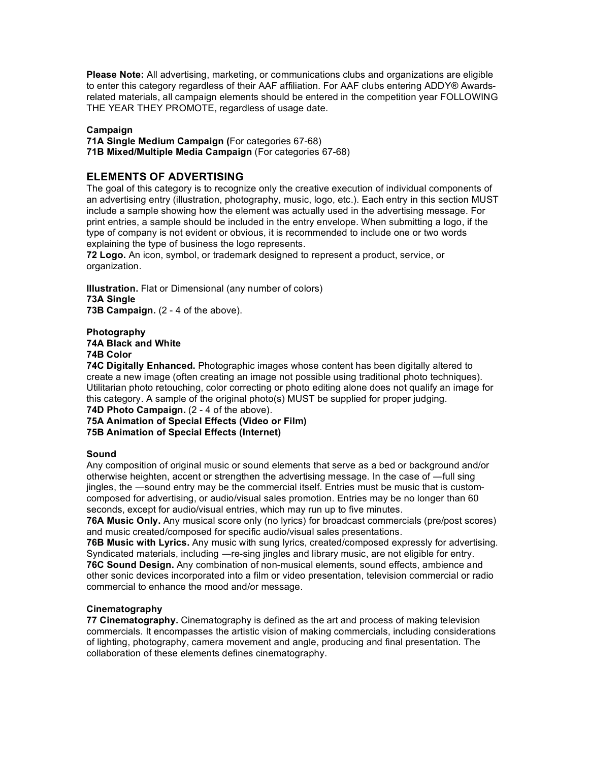**Please Note:** All advertising, marketing, or communications clubs and organizations are eligible to enter this category regardless of their AAF affiliation. For AAF clubs entering ADDY® Awardsrelated materials, all campaign elements should be entered in the competition year FOLLOWING THE YEAR THEY PROMOTE, regardless of usage date.

#### **Campaign**

**71A Single Medium Campaign (**For categories 67-68) **71B Mixed/Multiple Media Campaign** (For categories 67-68)

#### **ELEMENTS OF ADVERTISING**

The goal of this category is to recognize only the creative execution of individual components of an advertising entry (illustration, photography, music, logo, etc.). Each entry in this section MUST include a sample showing how the element was actually used in the advertising message. For print entries, a sample should be included in the entry envelope. When submitting a logo, if the type of company is not evident or obvious, it is recommended to include one or two words explaining the type of business the logo represents.

**72 Logo.** An icon, symbol, or trademark designed to represent a product, service, or organization.

**Illustration.** Flat or Dimensional (any number of colors) **73A Single**  73B Campaign. (2 - 4 of the above).

#### **Photography 74A Black and White**

**74B Color** 

**74C Digitally Enhanced.** Photographic images whose content has been digitally altered to create a new image (often creating an image not possible using traditional photo techniques). Utilitarian photo retouching, color correcting or photo editing alone does not qualify an image for this category. A sample of the original photo(s) MUST be supplied for proper judging.

#### **74D Photo Campaign.** (2 - 4 of the above).

#### **75A Animation of Special Effects (Video or Film) 75B Animation of Special Effects (Internet)**

#### **Sound**

Any composition of original music or sound elements that serve as a bed or background and/or otherwise heighten, accent or strengthen the advertising message. In the case of -full sing jingles, the -sound entry may be the commercial itself. Entries must be music that is customcomposed for advertising, or audio/visual sales promotion. Entries may be no longer than 60 seconds, except for audio/visual entries, which may run up to five minutes.

**76A Music Only.** Any musical score only (no lyrics) for broadcast commercials (pre/post scores) and music created/composed for specific audio/visual sales presentations.

**76B Music with Lyrics.** Any music with sung lyrics, created/composed expressly for advertising. Syndicated materials, including —re-sing jingles and library music, are not eligible for entry. **76C Sound Design.** Any combination of non-musical elements, sound effects, ambience and other sonic devices incorporated into a film or video presentation, television commercial or radio commercial to enhance the mood and/or message.

#### **Cinematography**

**77 Cinematography.** Cinematography is defined as the art and process of making television commercials. It encompasses the artistic vision of making commercials, including considerations of lighting, photography, camera movement and angle, producing and final presentation. The collaboration of these elements defines cinematography.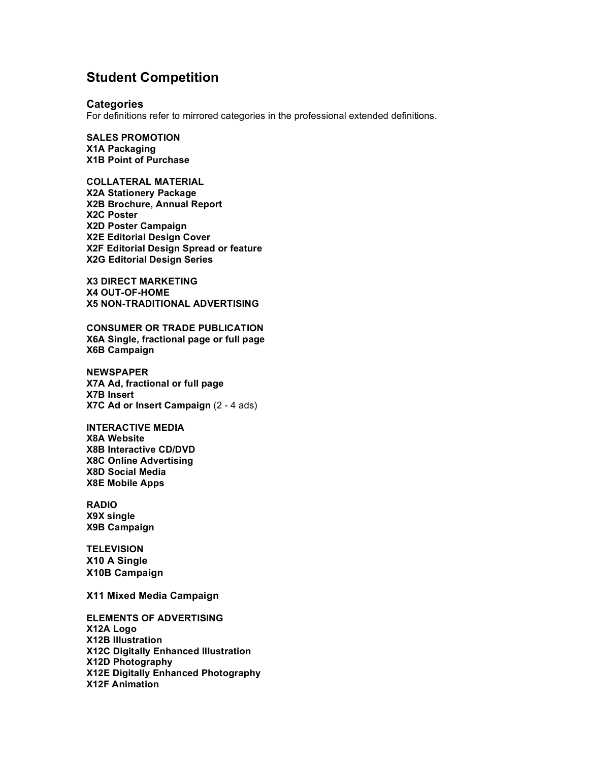### **Student Competition**

#### **Categories**

For definitions refer to mirrored categories in the professional extended definitions.

**SALES PROMOTION X1A Packaging X1B Point of Purchase** 

**COLLATERAL MATERIAL X2A Stationery Package X2B Brochure, Annual Report X2C Poster X2D Poster Campaign X2E Editorial Design Cover X2F Editorial Design Spread or feature X2G Editorial Design Series** 

**X3 DIRECT MARKETING X4 OUT-OF-HOME X5 NON-TRADITIONAL ADVERTISING** 

**CONSUMER OR TRADE PUBLICATION X6A Single, fractional page or full page X6B Campaign**

**NEWSPAPER X7A Ad, fractional or full page X7B Insert X7C Ad or Insert Campaign** (2 - 4 ads)

**INTERACTIVE MEDIA X8A Website X8B Interactive CD/DVD X8C Online Advertising X8D Social Media X8E Mobile Apps**

**RADIO X9X single X9B Campaign** 

**TELEVISION X10 A Single X10B Campaign** 

**X11 Mixed Media Campaign**

**ELEMENTS OF ADVERTISING X12A Logo X12B Illustration X12C Digitally Enhanced Illustration X12D Photography X12E Digitally Enhanced Photography X12F Animation**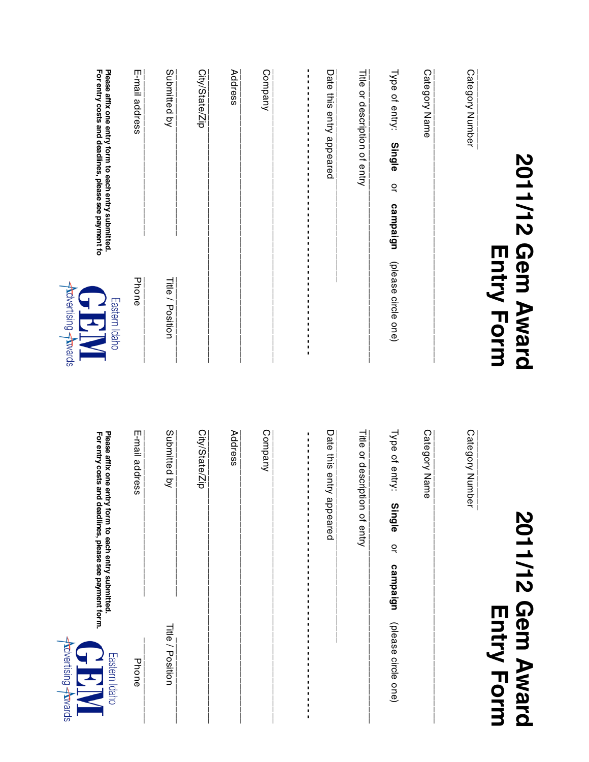| Please affix one entry form to each entry submitted.<br>,<br>City/State/Zip<br>Category Number<br>For entry costs and deadlines, please see payment fo<br>E-mail address<br>Submitted by<br>Company<br>Date this entry appeared<br>Category Name<br>Address<br>Type of entry:<br>,<br>J,<br>J,<br>or description of entry<br>٠<br>J,<br>٠<br>$\blacksquare$<br>$\blacksquare$<br><b>Single</b><br>٠<br>$\blacksquare$<br>$\blacksquare$<br>$\breve{a}$<br>1<br>1<br>J,<br>J,<br>campaign<br>J,<br>J,<br>J,<br>J,<br>,<br>$\blacksquare$<br>$\blacksquare$<br>,<br>,<br>,<br>(please circle one)<br>J,<br>J,<br>J,<br>Phone<br>Title / Position<br>J,<br><b>Trovertising Atwards</b><br>J,<br>J,<br>Eastern Idaho<br>I,<br>Submitted by<br>Company<br>Date this entry<br>Category Name<br>Category Number<br>E-mail address<br>City/State/Zip<br>Address<br>Title<br>Type of entry:<br>Please affix one entry form to each entry submitted.<br>For entry costs and<br>J,<br>J,<br>٠<br>٠<br>or description of entry<br>٠<br>٠<br>ı<br>٠<br>$\blacksquare$<br>appeared<br>deadlines, please see payment form.<br>٠<br><b>Single</b><br>1<br>$\blacksquare$<br>I.<br>$\breve{a}$<br>$\blacksquare$<br>I,<br>п<br>campaign<br>٠<br>٠<br>٠<br>٠<br><b>Title / Position</b><br>٠<br>Phone<br>Ŧ | 2011/12 | <b>Gem Award</b><br><b>Entry Form</b> | 2011/12 Gem Award<br><b>Entry Form</b>      |
|------------------------------------------------------------------------------------------------------------------------------------------------------------------------------------------------------------------------------------------------------------------------------------------------------------------------------------------------------------------------------------------------------------------------------------------------------------------------------------------------------------------------------------------------------------------------------------------------------------------------------------------------------------------------------------------------------------------------------------------------------------------------------------------------------------------------------------------------------------------------------------------------------------------------------------------------------------------------------------------------------------------------------------------------------------------------------------------------------------------------------------------------------------------------------------------------------------------------------------------------------------------------------------------|---------|---------------------------------------|---------------------------------------------|
| Title                                                                                                                                                                                                                                                                                                                                                                                                                                                                                                                                                                                                                                                                                                                                                                                                                                                                                                                                                                                                                                                                                                                                                                                                                                                                                    |         |                                       |                                             |
|                                                                                                                                                                                                                                                                                                                                                                                                                                                                                                                                                                                                                                                                                                                                                                                                                                                                                                                                                                                                                                                                                                                                                                                                                                                                                          |         |                                       |                                             |
|                                                                                                                                                                                                                                                                                                                                                                                                                                                                                                                                                                                                                                                                                                                                                                                                                                                                                                                                                                                                                                                                                                                                                                                                                                                                                          |         |                                       | (please circle one)                         |
|                                                                                                                                                                                                                                                                                                                                                                                                                                                                                                                                                                                                                                                                                                                                                                                                                                                                                                                                                                                                                                                                                                                                                                                                                                                                                          |         |                                       |                                             |
|                                                                                                                                                                                                                                                                                                                                                                                                                                                                                                                                                                                                                                                                                                                                                                                                                                                                                                                                                                                                                                                                                                                                                                                                                                                                                          |         |                                       |                                             |
|                                                                                                                                                                                                                                                                                                                                                                                                                                                                                                                                                                                                                                                                                                                                                                                                                                                                                                                                                                                                                                                                                                                                                                                                                                                                                          |         |                                       |                                             |
|                                                                                                                                                                                                                                                                                                                                                                                                                                                                                                                                                                                                                                                                                                                                                                                                                                                                                                                                                                                                                                                                                                                                                                                                                                                                                          |         |                                       |                                             |
|                                                                                                                                                                                                                                                                                                                                                                                                                                                                                                                                                                                                                                                                                                                                                                                                                                                                                                                                                                                                                                                                                                                                                                                                                                                                                          |         |                                       |                                             |
|                                                                                                                                                                                                                                                                                                                                                                                                                                                                                                                                                                                                                                                                                                                                                                                                                                                                                                                                                                                                                                                                                                                                                                                                                                                                                          |         |                                       |                                             |
|                                                                                                                                                                                                                                                                                                                                                                                                                                                                                                                                                                                                                                                                                                                                                                                                                                                                                                                                                                                                                                                                                                                                                                                                                                                                                          |         |                                       |                                             |
|                                                                                                                                                                                                                                                                                                                                                                                                                                                                                                                                                                                                                                                                                                                                                                                                                                                                                                                                                                                                                                                                                                                                                                                                                                                                                          |         |                                       |                                             |
|                                                                                                                                                                                                                                                                                                                                                                                                                                                                                                                                                                                                                                                                                                                                                                                                                                                                                                                                                                                                                                                                                                                                                                                                                                                                                          |         |                                       | <b>Advertising Atwards</b><br>Eastern Idaho |